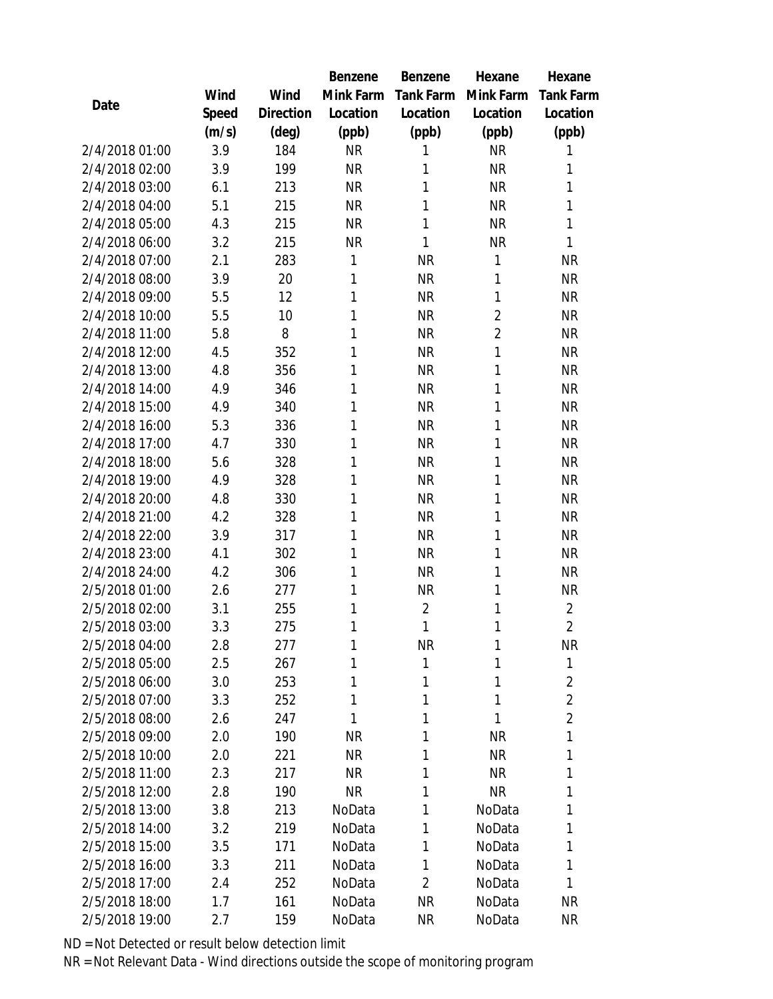|                |       |           | Benzene   | Benzene        | Hexane         | Hexane           |  |
|----------------|-------|-----------|-----------|----------------|----------------|------------------|--|
|                | Wind  | Wind      | Mink Farm | Tank Farm      | Mink Farm      | <b>Tank Farm</b> |  |
| Date           | Speed | Direction | Location  | Location       | Location       | Location         |  |
|                | (m/s) | (deg)     | (ppb)     | (ppb)          | (ppb)          | (ppb)            |  |
| 2/4/2018 01:00 | 3.9   | 184       | <b>NR</b> | 1              | <b>NR</b>      | 1                |  |
| 2/4/2018 02:00 | 3.9   | 199       | <b>NR</b> | 1              | <b>NR</b>      | 1                |  |
| 2/4/2018 03:00 | 6.1   | 213       | <b>NR</b> | 1              | <b>NR</b>      | $\mathbf{1}$     |  |
| 2/4/2018 04:00 | 5.1   | 215       | <b>NR</b> | 1              | <b>NR</b>      | $\mathbf{1}$     |  |
| 2/4/2018 05:00 | 4.3   | 215       | <b>NR</b> | 1              | <b>NR</b>      | $\mathbf{1}$     |  |
| 2/4/2018 06:00 | 3.2   | 215       | <b>NR</b> | $\mathbf{1}$   | <b>NR</b>      | $\mathbf{1}$     |  |
| 2/4/2018 07:00 | 2.1   | 283       | 1         | <b>NR</b>      | 1              | <b>NR</b>        |  |
| 2/4/2018 08:00 | 3.9   | 20        | 1         | <b>NR</b>      | 1              | <b>NR</b>        |  |
| 2/4/2018 09:00 | 5.5   | 12        | 1         | <b>NR</b>      | 1              | <b>NR</b>        |  |
| 2/4/2018 10:00 | 5.5   | 10        | 1         | <b>NR</b>      | $\overline{2}$ | <b>NR</b>        |  |
| 2/4/2018 11:00 | 5.8   | 8         | 1         | <b>NR</b>      | $\overline{2}$ | <b>NR</b>        |  |
| 2/4/2018 12:00 | 4.5   | 352       | 1         | <b>NR</b>      | 1              | <b>NR</b>        |  |
| 2/4/2018 13:00 | 4.8   | 356       | 1         | <b>NR</b>      | 1              | <b>NR</b>        |  |
| 2/4/2018 14:00 | 4.9   | 346       | 1         | <b>NR</b>      | 1              | <b>NR</b>        |  |
| 2/4/2018 15:00 | 4.9   | 340       | 1         | <b>NR</b>      | 1              | <b>NR</b>        |  |
| 2/4/2018 16:00 | 5.3   | 336       | 1         | <b>NR</b>      | 1              | <b>NR</b>        |  |
| 2/4/2018 17:00 | 4.7   | 330       | 1         | <b>NR</b>      | 1              | <b>NR</b>        |  |
| 2/4/2018 18:00 | 5.6   | 328       | 1         | <b>NR</b>      | 1              | <b>NR</b>        |  |
| 2/4/2018 19:00 | 4.9   | 328       | 1         | <b>NR</b>      | 1              | <b>NR</b>        |  |
| 2/4/2018 20:00 | 4.8   | 330       | 1         | <b>NR</b>      | 1              | <b>NR</b>        |  |
| 2/4/2018 21:00 | 4.2   | 328       | 1         | <b>NR</b>      | 1              | <b>NR</b>        |  |
| 2/4/2018 22:00 | 3.9   | 317       | 1         | <b>NR</b>      | 1              | <b>NR</b>        |  |
| 2/4/2018 23:00 | 4.1   | 302       | 1         | <b>NR</b>      | 1              | <b>NR</b>        |  |
| 2/4/2018 24:00 | 4.2   | 306       | 1         | <b>NR</b>      | 1              | <b>NR</b>        |  |
| 2/5/2018 01:00 | 2.6   | 277       | 1         | <b>NR</b>      | 1              | <b>NR</b>        |  |
| 2/5/2018 02:00 | 3.1   | 255       | 1         | $\overline{2}$ | 1              | $\overline{2}$   |  |
| 2/5/2018 03:00 | 3.3   | 275       | 1         | 1              | 1              | $\overline{2}$   |  |
| 2/5/2018 04:00 | 2.8   | 277       | 1         | <b>NR</b>      | 1              | <b>NR</b>        |  |
| 2/5/2018 05:00 | 2.5   | 267       | 1         | 1              | 1              | 1                |  |
| 2/5/2018 06:00 | 3.0   | 253       | 1         | 1              | 1              | $\overline{2}$   |  |
| 2/5/2018 07:00 | 3.3   | 252       | 1         | 1              | 1              | $\overline{2}$   |  |
| 2/5/2018 08:00 | 2.6   | 247       | 1         | 1              | 1              | $\overline{2}$   |  |
| 2/5/2018 09:00 | 2.0   | 190       | <b>NR</b> | 1              | <b>NR</b>      | 1                |  |
| 2/5/2018 10:00 | 2.0   | 221       | <b>NR</b> | 1              | <b>NR</b>      | 1                |  |
| 2/5/2018 11:00 | 2.3   | 217       | <b>NR</b> | 1              | <b>NR</b>      | 1                |  |
| 2/5/2018 12:00 | 2.8   | 190       | <b>NR</b> | 1              | <b>NR</b>      | 1                |  |
| 2/5/2018 13:00 | 3.8   | 213       | NoData    | 1              | NoData         | 1                |  |
| 2/5/2018 14:00 | 3.2   | 219       | NoData    | 1              | NoData         | 1                |  |
| 2/5/2018 15:00 | 3.5   | 171       | NoData    | 1              | NoData         | 1                |  |
| 2/5/2018 16:00 | 3.3   | 211       | NoData    | 1              | NoData         | 1                |  |
| 2/5/2018 17:00 | 2.4   | 252       | NoData    | $\overline{2}$ | NoData         | 1                |  |
| 2/5/2018 18:00 | 1.7   | 161       | NoData    | <b>NR</b>      | NoData         | NR               |  |
| 2/5/2018 19:00 | 2.7   | 159       | NoData    | <b>NR</b>      | NoData         | <b>NR</b>        |  |

ND = Not Detected or result below detection limit

NR = Not Relevant Data - Wind directions outside the scope of monitoring program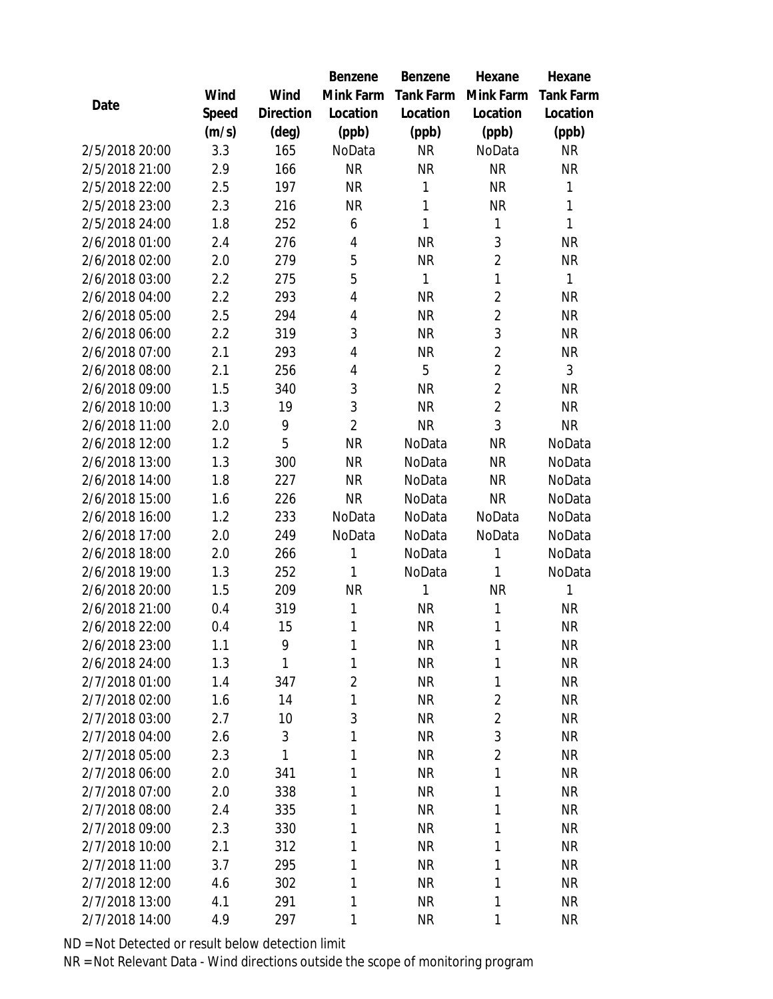|                |       |                | Benzene        | Benzene          | Hexane         | Hexane           |
|----------------|-------|----------------|----------------|------------------|----------------|------------------|
|                | Wind  | Wind           | Mink Farm      | <b>Tank Farm</b> | Mink Farm      | <b>Tank Farm</b> |
| Date           | Speed | Direction      | Location       | Location         | Location       | Location         |
|                | (m/s) | $(\text{deg})$ | (ppb)          | (ppb)            | (ppb)          | (ppb)            |
| 2/5/2018 20:00 | 3.3   | 165            | NoData         | <b>NR</b>        | NoData         | <b>NR</b>        |
| 2/5/2018 21:00 | 2.9   | 166            | <b>NR</b>      | <b>NR</b>        | <b>NR</b>      | <b>NR</b>        |
| 2/5/2018 22:00 | 2.5   | 197            | <b>NR</b>      | 1                | <b>NR</b>      | $\mathbf{1}$     |
| 2/5/2018 23:00 | 2.3   | 216            | <b>NR</b>      | $\mathbf{1}$     | <b>NR</b>      | $\mathbf{1}$     |
| 2/5/2018 24:00 | 1.8   | 252            | 6              | 1                | 1              | $\mathbf{1}$     |
| 2/6/2018 01:00 | 2.4   | 276            | 4              | <b>NR</b>        | $\sqrt{3}$     | <b>NR</b>        |
| 2/6/2018 02:00 | 2.0   | 279            | 5              | <b>NR</b>        | $\overline{2}$ | <b>NR</b>        |
| 2/6/2018 03:00 | 2.2   | 275            | 5              | $\mathbf{1}$     | 1              | $\mathbf{1}$     |
| 2/6/2018 04:00 | 2.2   | 293            | 4              | <b>NR</b>        | $\overline{2}$ | <b>NR</b>        |
| 2/6/2018 05:00 | 2.5   | 294            | 4              | <b>NR</b>        | $\overline{2}$ | <b>NR</b>        |
| 2/6/2018 06:00 | 2.2   | 319            | 3              | <b>NR</b>        | 3              | <b>NR</b>        |
| 2/6/2018 07:00 | 2.1   | 293            | 4              | <b>NR</b>        | $\overline{2}$ | <b>NR</b>        |
| 2/6/2018 08:00 | 2.1   | 256            | 4              | 5                | $\overline{2}$ | $\mathfrak{Z}$   |
| 2/6/2018 09:00 | 1.5   | 340            | 3              | <b>NR</b>        | $\overline{2}$ | <b>NR</b>        |
| 2/6/2018 10:00 | 1.3   | 19             | 3              | <b>NR</b>        | $\overline{2}$ | <b>NR</b>        |
| 2/6/2018 11:00 | 2.0   | 9              | $\overline{2}$ | <b>NR</b>        | 3              | <b>NR</b>        |
| 2/6/2018 12:00 | 1.2   | 5              | <b>NR</b>      | NoData           | <b>NR</b>      | NoData           |
| 2/6/2018 13:00 | 1.3   | 300            | <b>NR</b>      | NoData           | <b>NR</b>      | NoData           |
| 2/6/2018 14:00 | 1.8   | 227            | <b>NR</b>      | NoData           | <b>NR</b>      | NoData           |
| 2/6/2018 15:00 | 1.6   | 226            | <b>NR</b>      | NoData           | <b>NR</b>      | NoData           |
| 2/6/2018 16:00 | 1.2   | 233            | NoData         | NoData           | NoData         | NoData           |
| 2/6/2018 17:00 | 2.0   | 249            | NoData         | NoData           | NoData         | NoData           |
| 2/6/2018 18:00 | 2.0   | 266            | 1              | NoData           | 1              | NoData           |
| 2/6/2018 19:00 | 1.3   | 252            | 1              | NoData           | 1              | NoData           |
| 2/6/2018 20:00 | 1.5   | 209            | <b>NR</b>      | 1                | <b>NR</b>      | $\mathbf{1}$     |
| 2/6/2018 21:00 | 0.4   | 319            | 1              | <b>NR</b>        | 1              | <b>NR</b>        |
| 2/6/2018 22:00 | 0.4   | 15             | 1              | <b>NR</b>        | 1              | <b>NR</b>        |
| 2/6/2018 23:00 | 1.1   | 9              | 1              | <b>NR</b>        | 1              | <b>NR</b>        |
| 2/6/2018 24:00 | 1.3   | 1              | 1              | <b>NR</b>        | 1              | <b>NR</b>        |
| 2/7/2018 01:00 | 1.4   | 347            | $\overline{2}$ | <b>NR</b>        | 1              | NR               |
| 2/7/2018 02:00 | 1.6   | 14             | 1              | <b>NR</b>        | $\overline{2}$ | <b>NR</b>        |
| 2/7/2018 03:00 | 2.7   | 10             | 3              | <b>NR</b>        | $\overline{2}$ | <b>NR</b>        |
| 2/7/2018 04:00 | 2.6   | 3              | 1              | <b>NR</b>        | 3              | <b>NR</b>        |
| 2/7/2018 05:00 | 2.3   | 1              | 1              | <b>NR</b>        | $\overline{2}$ | <b>NR</b>        |
| 2/7/2018 06:00 | 2.0   | 341            | 1              | <b>NR</b>        | 1              | NR               |
| 2/7/2018 07:00 | 2.0   | 338            | 1              | <b>NR</b>        | 1              | <b>NR</b>        |
| 2/7/2018 08:00 | 2.4   | 335            | 1              | <b>NR</b>        | 1              | <b>NR</b>        |
| 2/7/2018 09:00 | 2.3   | 330            | 1              | <b>NR</b>        | 1              | <b>NR</b>        |
| 2/7/2018 10:00 | 2.1   | 312            | 1              | <b>NR</b>        | 1              | <b>NR</b>        |
| 2/7/2018 11:00 | 3.7   | 295            | 1              | <b>NR</b>        | 1              | NR               |
| 2/7/2018 12:00 | 4.6   | 302            | 1              | <b>NR</b>        | 1              | <b>NR</b>        |
| 2/7/2018 13:00 | 4.1   | 291            | 1              | <b>NR</b>        | 1              | NR               |
| 2/7/2018 14:00 | 4.9   | 297            | 1              | <b>NR</b>        | 1              | <b>NR</b>        |

ND = Not Detected or result below detection limit

NR = Not Relevant Data - Wind directions outside the scope of monitoring program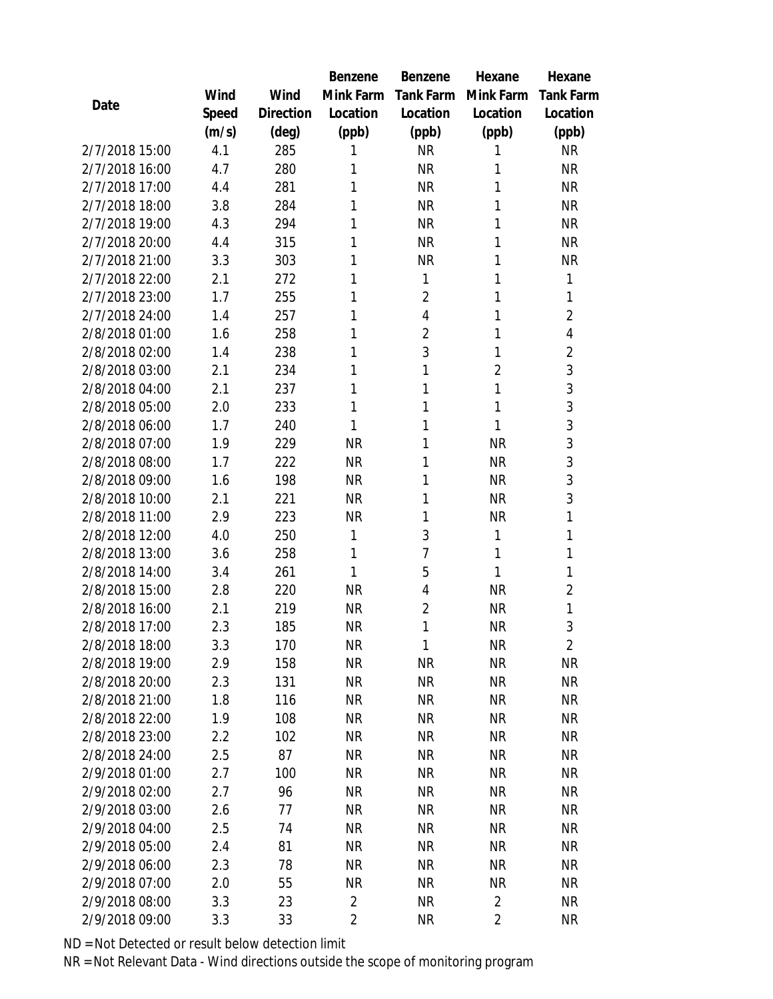|                                  |            |           | Benzene                | <b>Benzene</b>  | Hexane                 | Hexane           |
|----------------------------------|------------|-----------|------------------------|-----------------|------------------------|------------------|
|                                  | Wind       | Wind      | Mink Farm              | Tank Farm       | Mink Farm              | <b>Tank Farm</b> |
| Date                             | Speed      | Direction | Location               | Location        | Location               | Location         |
|                                  | (m/s)      | (deg)     | (ppb)                  | (ppb)           | (ppb)                  | (ppb)            |
| 2/7/2018 15:00                   | 4.1        | 285       | 1                      | <b>NR</b>       | 1                      | <b>NR</b>        |
| 2/7/2018 16:00                   | 4.7        | 280       | 1                      | <b>NR</b>       | 1                      | <b>NR</b>        |
| 2/7/2018 17:00                   | 4.4        | 281       | 1                      | <b>NR</b>       | 1                      | <b>NR</b>        |
| 2/7/2018 18:00                   | 3.8        | 284       | 1                      | <b>NR</b>       | 1                      | <b>NR</b>        |
| 2/7/2018 19:00                   | 4.3        | 294       | 1                      | <b>NR</b>       | 1                      | <b>NR</b>        |
| 2/7/2018 20:00                   | 4.4        | 315       | 1                      | <b>NR</b>       | 1                      | <b>NR</b>        |
| 2/7/2018 21:00                   | 3.3        | 303       | 1                      | <b>NR</b>       | 1                      | <b>NR</b>        |
| 2/7/2018 22:00                   | 2.1        | 272       | 1                      | $\mathbf{1}$    | 1                      | 1                |
| 2/7/2018 23:00                   | 1.7        | 255       | 1                      | $\overline{2}$  | 1                      | 1                |
| 2/7/2018 24:00                   | 1.4        | 257       | 1                      | $\overline{4}$  | 1                      | $\overline{2}$   |
| 2/8/2018 01:00                   | 1.6        | 258       | 1                      | $\overline{2}$  | 1                      | 4                |
| 2/8/2018 02:00                   | 1.4        | 238       | 1                      | 3               | 1                      | $\overline{2}$   |
| 2/8/2018 03:00                   | 2.1        | 234       | 1                      | 1               | $\overline{2}$         | 3                |
| 2/8/2018 04:00                   | 2.1        | 237       | 1                      | 1               | 1                      | 3                |
| 2/8/2018 05:00                   | 2.0        | 233       | 1                      | 1               | 1                      | 3                |
| 2/8/2018 06:00                   | 1.7        | 240       | 1                      | 1               | 1                      | 3                |
| 2/8/2018 07:00                   | 1.9        | 229       | <b>NR</b>              | 1               | <b>NR</b>              | 3                |
| 2/8/2018 08:00                   | 1.7        | 222       | <b>NR</b>              | 1               | <b>NR</b>              | 3                |
| 2/8/2018 09:00                   | 1.6        | 198       | <b>NR</b>              | 1               | <b>NR</b>              | 3                |
| 2/8/2018 10:00                   | 2.1        | 221       | <b>NR</b>              | 1               | <b>NR</b>              | 3                |
| 2/8/2018 11:00                   | 2.9        | 223       | <b>NR</b>              | 1               | <b>NR</b>              | 1                |
| 2/8/2018 12:00                   | 4.0        | 250       | 1                      | 3               | 1                      | 1                |
| 2/8/2018 13:00                   | 3.6        | 258       | 1                      | 7               | 1                      | $\mathbf{1}$     |
| 2/8/2018 14:00                   | 3.4        | 261       | 1                      | 5               | 1                      | $\mathbf{1}$     |
| 2/8/2018 15:00                   | 2.8        | 220       | <b>NR</b>              | $\overline{4}$  | <b>NR</b>              | $\overline{2}$   |
| 2/8/2018 16:00                   | 2.1        | 219       | <b>NR</b>              | $\overline{2}$  | <b>NR</b>              | 1                |
| 2/8/2018 17:00                   | 2.3        | 185       | <b>NR</b>              | 1               | <b>NR</b>              | 3                |
| 2/8/2018 18:00                   | 3.3        | 170       | <b>NR</b>              | $\mathbf{1}$    | <b>NR</b>              | $\overline{2}$   |
| 2/8/2018 19:00                   | 2.9        | 158       | <b>NR</b>              | <b>NR</b>       | <b>NR</b>              | <b>NR</b>        |
| 2/8/2018 20:00                   | 2.3        | 131       | NR                     | <b>NR</b>       | NR                     | <b>NR</b>        |
| 2/8/2018 21:00                   | 1.8        | 116       | <b>NR</b>              | <b>NR</b>       | <b>NR</b>              | <b>NR</b>        |
| 2/8/2018 22:00                   | 1.9        | 108       | <b>NR</b>              | <b>NR</b>       | <b>NR</b>              | <b>NR</b>        |
| 2/8/2018 23:00                   | 2.2        | 102       | <b>NR</b>              | <b>NR</b>       | <b>NR</b>              | <b>NR</b>        |
| 2/8/2018 24:00                   | 2.5        | 87        | NR                     | <b>NR</b>       | <b>NR</b>              | <b>NR</b>        |
| 2/9/2018 01:00                   | 2.7        | 100       | NR.                    | NR              | <b>NR</b>              | NR               |
| 2/9/2018 02:00                   | 2.7        | 96        | <b>NR</b>              | <b>NR</b>       | <b>NR</b>              | <b>NR</b>        |
| 2/9/2018 03:00<br>2/9/2018 04:00 | 2.6<br>2.5 | 77<br>74  | <b>NR</b><br><b>NR</b> | <b>NR</b><br>NR | <b>NR</b><br><b>NR</b> | NR<br><b>NR</b>  |
| 2/9/2018 05:00                   | 2.4        | 81        | NR                     | <b>NR</b>       | <b>NR</b>              | <b>NR</b>        |
| 2/9/2018 06:00                   | 2.3        | 78        | NR                     | NR              | <b>NR</b>              | NR               |
| 2/9/2018 07:00                   | 2.0        | 55        | <b>NR</b>              | <b>NR</b>       | <b>NR</b>              | <b>NR</b>        |
| 2/9/2018 08:00                   | 3.3        | 23        | $\overline{2}$         | <b>NR</b>       | $\overline{2}$         | NR               |
| 2/9/2018 09:00                   | 3.3        | 33        | 2                      | <b>NR</b>       | $\overline{2}$         | <b>NR</b>        |
|                                  |            |           |                        |                 |                        |                  |

ND = Not Detected or result below detection limit

NR = Not Relevant Data - Wind directions outside the scope of monitoring program